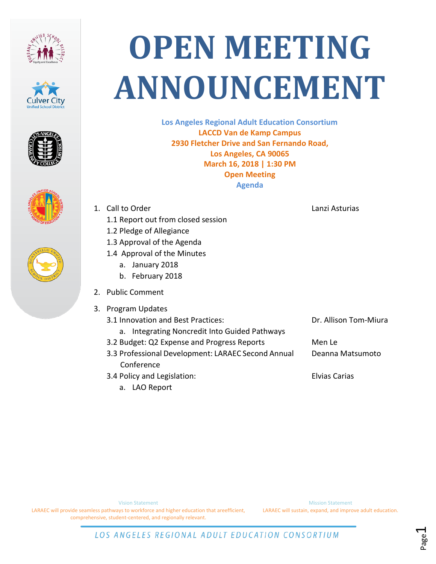









## **OPEN MEETING ANNOUNCEMENT**

**Los Angeles Regional Adult Education Consortium LACCD Van de Kamp Campus 2930 Fletcher Drive and San Fernando Road, Los Angeles, CA 90065 March 16, 2018 | 1:30 PM Open Meeting Agenda**

- 1. Call to Order
	- 1.1 Report out from closed session
	- 1.2 Pledge of Allegiance
	- 1.3 Approval of the Agenda
	- 1.4 Approval of the Minutes
		- a. January 2018
		- b. February 2018
- 2. Public Comment
- 3. Program Updates
	- 3.1 Innovation and Best Practices:
		- a. Integrating Noncredit Into Guided Pathways
	- 3.2 Budget: Q2 Expense and Progress Reports
	- 3.3 Professional Development: LARAEC Second Annual Conference
	- 3.4 Policy and Legislation:
		- a. LAO Report

Lanzi Asturias

Dr. Allison Tom-Miura

Men Le Deanna Matsumoto

Elvias Carias

Vision Statement

LARAEC will provide seamless pathways to workforce and higher education that areefficient, comprehensive, student-centered, and regionally relevant.

Mission Statement LARAEC will sustain, expand, and improve adult education.